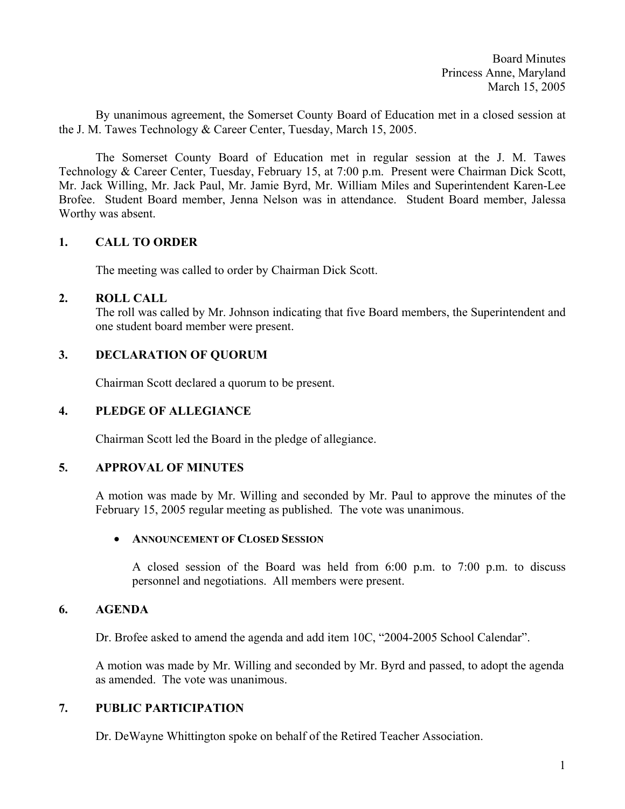Board Minutes Princess Anne, Maryland March 15, 2005

By unanimous agreement, the Somerset County Board of Education met in a closed session at the J. M. Tawes Technology & Career Center, Tuesday, March 15, 2005.

 The Somerset County Board of Education met in regular session at the J. M. Tawes Technology & Career Center, Tuesday, February 15, at 7:00 p.m. Present were Chairman Dick Scott, Mr. Jack Willing, Mr. Jack Paul, Mr. Jamie Byrd, Mr. William Miles and Superintendent Karen-Lee Brofee. Student Board member, Jenna Nelson was in attendance. Student Board member, Jalessa Worthy was absent.

# **1. CALL TO ORDER**

The meeting was called to order by Chairman Dick Scott.

### **2. ROLL CALL**

The roll was called by Mr. Johnson indicating that five Board members, the Superintendent and one student board member were present.

### **3. DECLARATION OF QUORUM**

Chairman Scott declared a quorum to be present.

# **4. PLEDGE OF ALLEGIANCE**

Chairman Scott led the Board in the pledge of allegiance.

### **5. APPROVAL OF MINUTES**

A motion was made by Mr. Willing and seconded by Mr. Paul to approve the minutes of the February 15, 2005 regular meeting as published. The vote was unanimous.

#### • **ANNOUNCEMENT OF CLOSED SESSION**

 A closed session of the Board was held from 6:00 p.m. to 7:00 p.m. to discuss personnel and negotiations. All members were present.

# **6. AGENDA**

Dr. Brofee asked to amend the agenda and add item 10C, "2004-2005 School Calendar".

A motion was made by Mr. Willing and seconded by Mr. Byrd and passed, to adopt the agenda as amended. The vote was unanimous.

# **7. PUBLIC PARTICIPATION**

Dr. DeWayne Whittington spoke on behalf of the Retired Teacher Association.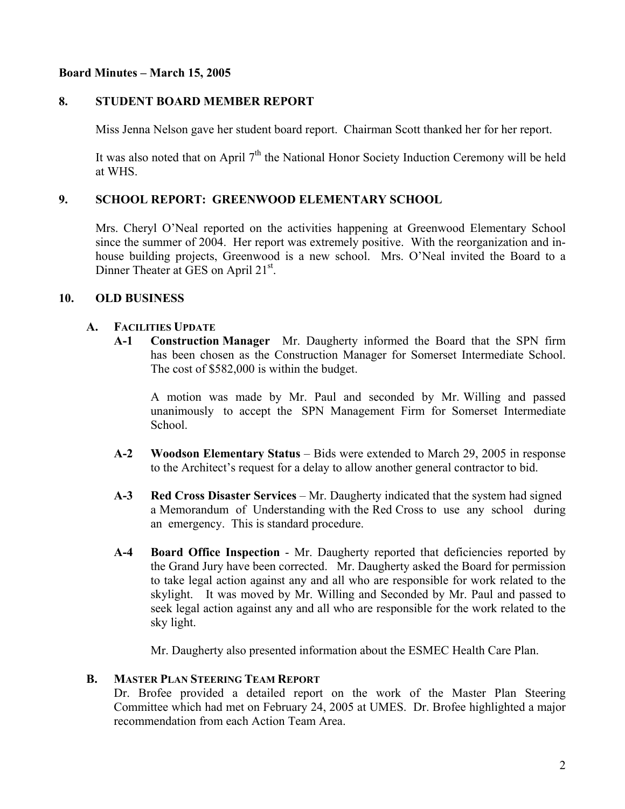# **Board Minutes – March 15, 2005**

# **8. STUDENT BOARD MEMBER REPORT**

Miss Jenna Nelson gave her student board report. Chairman Scott thanked her for her report.

It was also noted that on April  $7<sup>th</sup>$  the National Honor Society Induction Ceremony will be held at WHS.

# **9. SCHOOL REPORT: GREENWOOD ELEMENTARY SCHOOL**

Mrs. Cheryl O'Neal reported on the activities happening at Greenwood Elementary School since the summer of 2004. Her report was extremely positive. With the reorganization and inhouse building projects, Greenwood is a new school. Mrs. O'Neal invited the Board to a Dinner Theater at GES on April 21<sup>st</sup>.

# **10. OLD BUSINESS**

### **A. FACILITIES UPDATE**

 **A-1 Construction Manager** Mr. Daugherty informed the Board that the SPN firm has been chosen as the Construction Manager for Somerset Intermediate School. The cost of \$582,000 is within the budget.

 A motion was made by Mr. Paul and seconded by Mr. Willing and passed unanimously to accept the SPN Management Firm for Somerset Intermediate School.

- **A-2 Woodson Elementary Status** Bids were extended to March 29, 2005 in response to the Architect's request for a delay to allow another general contractor to bid.
- **A-3 Red Cross Disaster Services**  Mr. Daugherty indicated that the system had signed a Memorandum of Understanding with the Red Cross to use any school during an emergency. This is standard procedure.
- **A-4 Board Office Inspection** Mr. Daugherty reported that deficiencies reported by the Grand Jury have been corrected. Mr. Daugherty asked the Board for permission to take legal action against any and all who are responsible for work related to the skylight. It was moved by Mr. Willing and Seconded by Mr. Paul and passed to seek legal action against any and all who are responsible for the work related to the sky light.

Mr. Daugherty also presented information about the ESMEC Health Care Plan.

### **B. MASTER PLAN STEERING TEAM REPORT**

Dr. Brofee provided a detailed report on the work of the Master Plan Steering Committee which had met on February 24, 2005 at UMES. Dr. Brofee highlighted a major recommendation from each Action Team Area.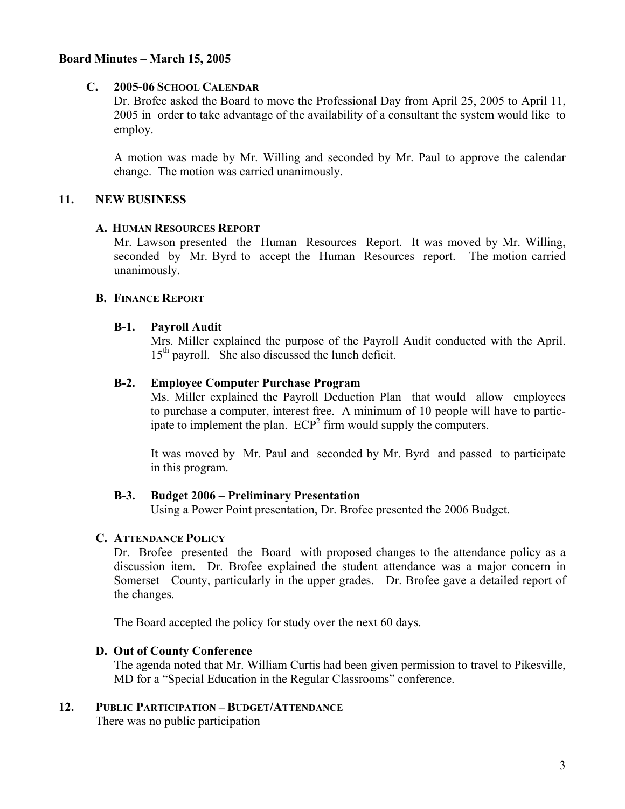## **Board Minutes – March 15, 2005**

### **C. 2005-06 SCHOOL CALENDAR**

 Dr. Brofee asked the Board to move the Professional Day from April 25, 2005 to April 11, 2005 in order to take advantage of the availability of a consultant the system would like to employ.

 A motion was made by Mr. Willing and seconded by Mr. Paul to approve the calendar change. The motion was carried unanimously.

### **11. NEW BUSINESS**

#### **A. HUMAN RESOURCES REPORT**

Mr. Lawson presented the Human Resources Report.It was moved by Mr. Willing, seconded by Mr. Byrd to accept the Human Resources report. The motion carried unanimously.

### **B. FINANCE REPORT**

#### **B-1. Payroll Audit**

 Mrs. Miller explained the purpose of the Payroll Audit conducted with the April.  $15<sup>th</sup>$  payroll. She also discussed the lunch deficit.

### **B-2. Employee Computer Purchase Program**

 Ms. Miller explained the Payroll Deduction Plan that would allow employees to purchase a computer, interest free. A minimum of 10 people will have to partic ipate to implement the plan.  $ECP<sup>2</sup>$  firm would supply the computers.

> It was moved by Mr. Paul and seconded by Mr. Byrd and passed to participate in this program.

### **B-3. Budget 2006 – Preliminary Presentation**

Using a Power Point presentation, Dr. Brofee presented the 2006 Budget.

#### **C. ATTENDANCE POLICY**

 Dr. Brofee presented the Board with proposed changes to the attendance policy as a discussion item. Dr. Brofee explained the student attendance was a major concern in Somerset County, particularly in the upper grades. Dr. Brofee gave a detailed report of the changes.

The Board accepted the policy for study over the next 60 days.

#### **D. Out of County Conference**

The agenda noted that Mr. William Curtis had been given permission to travel to Pikesville, MD for a "Special Education in the Regular Classrooms" conference.

#### **12. PUBLIC PARTICIPATION – BUDGET/ATTENDANCE**

There was no public participation